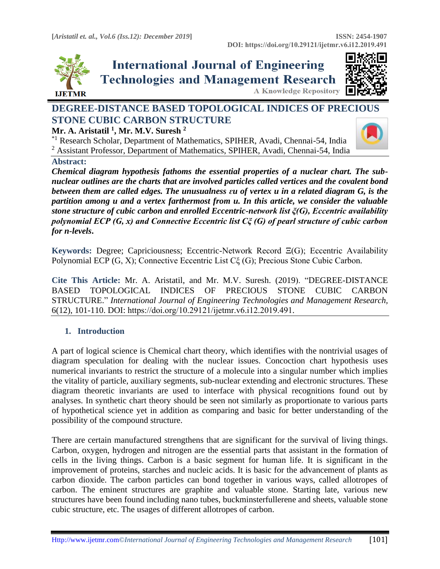





# **DEGREE-DISTANCE BASED TOPOLOGICAL INDICES OF PRECIOUS STONE CUBIC CARBON STRUCTURE**

### **Mr. A. Aristatil <sup>1</sup> , Mr. M.V. Suresh <sup>2</sup>**

\*1 Research Scholar, Department of Mathematics, SPIHER, Avadi, Chennai-54, India <sup>2</sup> Assistant Professor, Department of Mathematics, SPIHER, Avadi, Chennai-54, India



*Chemical diagram hypothesis fathoms the essential properties of a nuclear chart. The subnuclear outlines are the charts that are involved particles called vertices and the covalent bond between them are called edges. The unusualness ɛu of vertex u in a related diagram G, is the partition among u and a vertex farthermost from u. In this article, we consider the valuable stone structure of cubic carbon and enrolled Eccentric-network list ξ(G), Eccentric availability polynomial ECP (G, x) and Connective Eccentric list Cξ (G) of pearl structure of cubic carbon for n-levels***.**

**Keywords:** Degree; Capriciousness; Eccentric-Network Record Ξ(G); Eccentric Availability Polynomial ECP (G, X); Connective Eccentric List Cξ (G); Precious Stone Cubic Carbon*.* 

**Cite This Article:** Mr. A. Aristatil, and Mr. M.V. Suresh. (2019). "DEGREE-DISTANCE BASED TOPOLOGICAL INDICES OF PRECIOUS STONE CUBIC CARBON STRUCTURE." *International Journal of Engineering Technologies and Management Research,*  6(12), 101-110. DOI: https://doi.org/10.29121/ijetmr.v6.i12.2019.491.

## **1. Introduction**

A part of logical science is Chemical chart theory, which identifies with the nontrivial usages of diagram speculation for dealing with the nuclear issues. Concoction chart hypothesis uses numerical invariants to restrict the structure of a molecule into a singular number which implies the vitality of particle, auxiliary segments, sub-nuclear extending and electronic structures. These diagram theoretic invariants are used to interface with physical recognitions found out by analyses. In synthetic chart theory should be seen not similarly as proportionate to various parts of hypothetical science yet in addition as comparing and basic for better understanding of the possibility of the compound structure.

There are certain manufactured strengthens that are significant for the survival of living things. Carbon, oxygen, hydrogen and nitrogen are the essential parts that assistant in the formation of cells in the living things. Carbon is a basic segment for human life. It is significant in the improvement of proteins, starches and nucleic acids. It is basic for the advancement of plants as carbon dioxide. The carbon particles can bond together in various ways, called allotropes of carbon. The eminent structures are graphite and valuable stone. Starting late, various new structures have been found including nano tubes, buckminsterfullerene and sheets, valuable stone cubic structure, etc. The usages of different allotropes of carbon.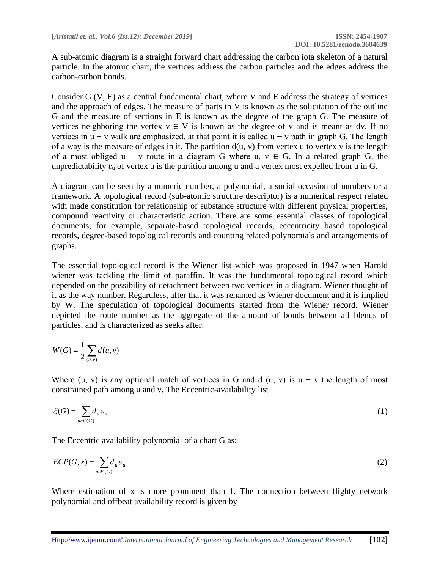A sub-atomic diagram is a straight forward chart addressing the carbon iota skeleton of a natural particle. In the atomic chart, the vertices address the carbon particles and the edges address the carbon-carbon bonds.

Consider G (V, E) as a central fundamental chart, where V and E address the strategy of vertices and the approach of edges. The measure of parts in V is known as the solicitation of the outline G and the measure of sections in E is known as the degree of the graph G. The measure of vertices neighboring the vertex  $v \in V$  is known as the degree of v and is meant as dv. If no vertices in  $u - v$  walk are emphasized, at that point it is called  $u - v$  path in graph G. The length of a way is the measure of edges in it. The partition  $d(u, v)$  from vertex u to vertex v is the length of a most obliged u – v route in a diagram G where u,  $v \in G$ . In a related graph G, the unpredictability  $\varepsilon_u$  of vertex u is the partition among u and a vertex most expelled from u in G.

A diagram can be seen by a numeric number, a polynomial, a social occasion of numbers or a framework. A topological record (sub-atomic structure descriptor) is a numerical respect related with made constitution for relationship of substance structure with different physical properties, compound reactivity or characteristic action. There are some essential classes of topological documents, for example, separate-based topological records, eccentricity based topological records, degree-based topological records and counting related polynomials and arrangements of graphs.

The essential topological record is the Wiener list which was proposed in 1947 when Harold wiener was tackling the limit of paraffin. It was the fundamental topological record which depended on the possibility of detachment between two vertices in a diagram. Wiener thought of it as the way number. Regardless, after that it was renamed as Wiener document and it is implied by W. The speculation of topological documents started from the Wiener record. Wiener depicted the route number as the aggregate of the amount of bonds between all blends of particles, and is characterized as seeks after:

$$
W(G) = \frac{1}{2} \sum_{(u,v)} d(u,v)
$$

Where (u, v) is any optional match of vertices in G and d (u, v) is  $u - v$  the length of most constrained path among u and v. The Eccentric-availability list

$$
\xi(G) = \sum_{u \in V(G)} d_u \varepsilon_u \tag{1}
$$

The Eccentric availability polynomial of a chart G as:

$$
ECP(G, x) = \sum_{u \in V(G)} d_u \varepsilon_u \tag{2}
$$

Where estimation of x is more prominent than 1. The connection between flighty network polynomial and offbeat availability record is given by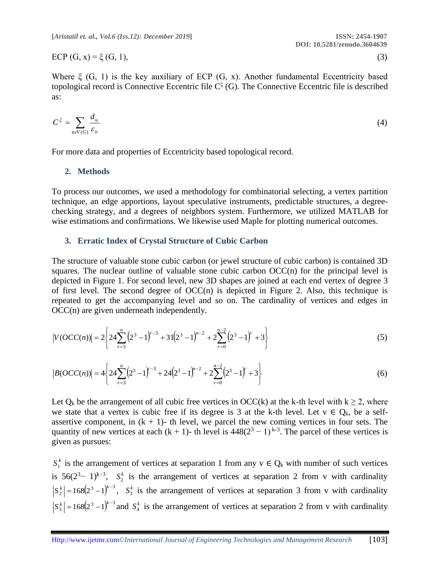ECP  $(G, x) = \xi(G, 1),$  (3)

Where  $\xi$  (G, 1) is the key auxiliary of ECP (G, x). Another fundamental Eccentricity based

topological record is Connective Eccentric file  $C^{\xi}(G)$ . The Connective Eccentric file is described as:

$$
C^{\xi} = \sum_{u \in V(G)} \frac{d_u}{\varepsilon_u} \tag{4}
$$

For more data and properties of Eccentricity based topological record.

#### **2. Methods**

To process our outcomes, we used a methodology for combinatorial selecting, a vertex partition technique, an edge apportions, layout speculative instruments, predictable structures, a degreechecking strategy, and a degrees of neighbors system. Furthermore, we utilized MATLAB for wise estimations and confirmations. We likewise used Maple for plotting numerical outcomes.

#### **3. Erratic Index of Crystal Structure of Cubic Carbon**

The structure of valuable stone cubic carbon (or jewel structure of cubic carbon) is contained 3D squares. The nuclear outline of valuable stone cubic carbon  $OCC(n)$  for the principal level is depicted in Figure 1. For second level, new 3D shapes are joined at each end vertex of degree 3 of first level. The second degree of  $OCC(n)$  is depicted in Figure 2. Also, this technique is repeated to get the accompanying level and so on. The cardinality of vertices and edges in OCC(n) are given underneath independently.

$$
|V(OCC(n))| = 2\left\{24\sum_{r=3}^{n} \left(2^{3}-1\right)^{r-3} + 31\left(2^{3}-1\right)^{n-2} + 2\sum_{r=0}^{n-2} \left(2^{3}-1\right)^{r} + 3\right\}
$$
(5)

$$
|B(OCC(n))| = 4\left\{24\sum_{r=3}^{n} \left(2^{3}-1\right)^{r-3} + 24\left(2^{3}-1\right)^{n-2} + 2\sum_{r=0}^{n-2} \left(2^{3}-1\right)^{r} + 3\right\}
$$
(6)

Let  $Q_k$  be the arrangement of all cubic free vertices in OCC(k) at the k-th level with  $k \ge 2$ , where we state that a vertex is cubic free if its degree is 3 at the k-th level. Let  $v \in Q_k$ , be a selfassertive component, in  $(k + 1)$ - th level, we parcel the new coming vertices in four sets. The quantity of new vertices at each  $(k + 1)$ - th level is  $448(2^3 - 1)^{k-3}$ . The parcel of these vertices is given as pursues:

 $S_1^k$  is the arrangement of vertices at separation 1 from any  $v \in Q_k$  with number of such vertices is  $56(2^3-1)^{k-3}$ ,  $S_2^k$  is the arrangement of vertices at separation 2 from v with cardinality  $S_2^k = 168(2^3 - 1)^{k-3}$ ,  $S_3^k$  is the arrangement of vertices at separation 3 from v with cardinality  $S_3^k = 168(2^3 - 1)^{k-3}$  and  $S_4^k$  is the arrangement of vertices at separation 2 from v with cardinality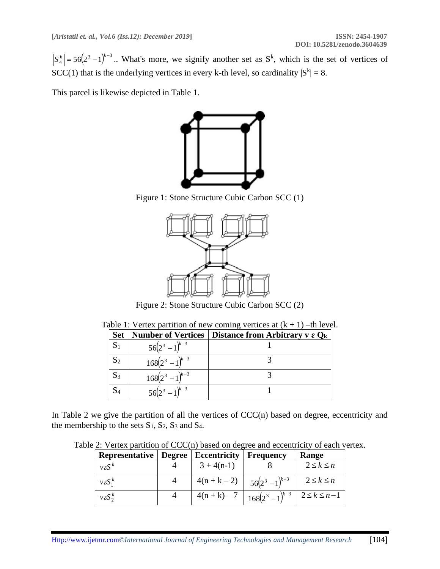$S_4^k = 56(2^3 - 1)^{k-3}$ .. What's more, we signify another set as  $S^k$ , which is the set of vertices of SCC(1) that is the underlying vertices in every k-th level, so cardinality  $|S^k| = 8$ .

This parcel is likewise depicted in Table 1.



Figure 1: Stone Structure Cubic Carbon SCC (1)



Figure 2: Stone Structure Cubic Carbon SCC (2)

| <b>Set</b>     | <b>Number of Vertices</b> | Distance from Arbitrary $v \in Q_k$ |
|----------------|---------------------------|-------------------------------------|
|                | $56(2^3 - 1)^{k-3}$       |                                     |
| S <sub>2</sub> | $168(2^3-1)^{k-3}$        |                                     |
| $S_3$          | $168(2^3-1)^{k-3}$        |                                     |
|                | $56(2^3 - 1)^{k-3}$       |                                     |

Table 1: Vertex partition of new coming vertices at  $(k + 1)$  –th level.

In Table 2 we give the partition of all the vertices of CCC(n) based on degree, eccentricity and the membership to the sets  $S_1$ ,  $S_2$ ,  $S_3$  and  $S_4$ .

Table 2: Vertex partition of CCC(n) based on degree and eccentricity of each vertex.

| Representative        | <b>Degree</b> | <b>Eccentricity</b> | <b>Frequency</b>                                    | Range             |
|-----------------------|---------------|---------------------|-----------------------------------------------------|-------------------|
| $v \varepsilon S^k$   |               | $3 + 4(n-1)$        |                                                     | $2 \leq k \leq n$ |
| $v \varepsilon S_1^k$ |               | $4(n+k-2)$          | $56(2^3-1)^{k-3}$                                   | $2 \leq k \leq n$ |
| $v \varepsilon S_2^k$ |               |                     | $4(n+k)-7$   $168(2^3-1)^{k-3}$   $2 \le k \le n-1$ |                   |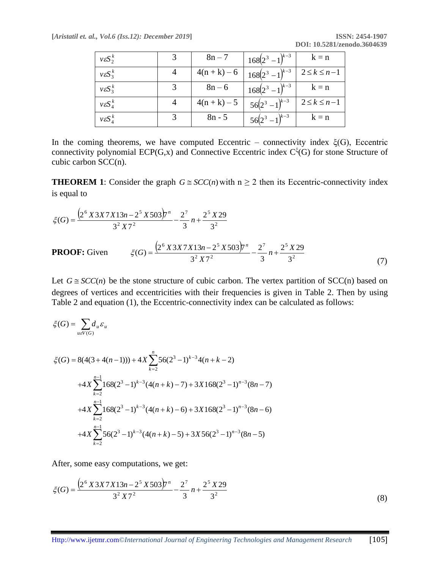| $v \varepsilon S_2^k$     | $8n - 7$   | $168(2^3 - 1)^{k-3}$ | $k = n$             |
|---------------------------|------------|----------------------|---------------------|
| $v \varepsilon S_{3}^{k}$ | $4(n+k)-6$ | $168(2^3 - 1)^{k-3}$ | $2 \leq k \leq n-1$ |
| $v \varepsilon S_3^k$     | $8n - 6$   | $168(2^3 - 1)^{k-3}$ | $k = n$             |
| $v \varepsilon S_A^k$     | $4(n+k)-5$ | $56(2^3 - 1)^{k-3}$  | $2 \leq k \leq n-1$ |
| $v \varepsilon S_A^k$     | $8n - 5$   | $56(2^3 - 1)^{k-3}$  | $k = n$             |

In the coming theorems, we have computed Eccentric – connectivity index  $ξ(G)$ , Eccentric connectivity polynomial  $ECP(G, x)$  and Connective Eccentric index  $C^{\xi}(G)$  for stone Structure of cubic carbon SCC(n).

**THEOREM** 1: Consider the graph  $G \cong SCC(n)$  with  $n \ge 2$  then its Eccentric-connectivity index is equal to

$$
\xi(G) = \frac{\left(2^6 \times 3 \times 7 \times 13n - 2^5 \times 503\right) \pi^n}{3^2 \times 7^2} - \frac{2^7}{3} n + \frac{2^5 \times 29}{3^2}
$$
\n**PROOF:** Given

\n
$$
\xi(G) = \frac{\left(2^6 \times 3 \times 7 \times 13n - 2^5 \times 503\right) \pi^n}{3^2 \times 7^2} - \frac{2^7}{3} n + \frac{2^5 \times 29}{3^2} \tag{7}
$$

Let  $G \cong SCC(n)$  be the stone structure of cubic carbon. The vertex partition of  $SCC(n)$  based on degrees of vertices and eccentricities with their frequencies is given in Table 2. Then by using Table 2 and equation (1), the Eccentric-connectivity index can be calculated as follows:

$$
\xi(G) = \sum_{u \in V(G)} d_u \varepsilon_u
$$
  
\n
$$
\xi(G) = 8(4(3 + 4(n - 1))) + 4X \sum_{k=2}^n 56(2^3 - 1)^{k-3} 4(n + k - 2)
$$
  
\n
$$
+ 4X \sum_{k=2}^{n-1} 168(2^3 - 1)^{k-3} (4(n + k) - 7) + 3X168(2^3 - 1)^{n-3} (8n - 7)
$$
  
\n
$$
+ 4X \sum_{k=2}^{n-1} 168(2^3 - 1)^{k-3} (4(n + k) - 6) + 3X168(2^3 - 1)^{n-3} (8n - 6)
$$
  
\n
$$
+ 4X \sum_{k=2}^{n-1} 56(2^3 - 1)^{k-3} (4(n + k) - 5) + 3X56(2^3 - 1)^{n-3} (8n - 5)
$$

After, some easy computations, we get:

$$
\zeta(G) = \frac{\left(2^6 \, X \, 3X \, 7X \, 13n - 2^5 \, X \, 503\right) \pi^n}{3^2 \, X \, 7^2} - \frac{2^7}{3} \, n + \frac{2^5 \, X \, 29}{3^2} \tag{8}
$$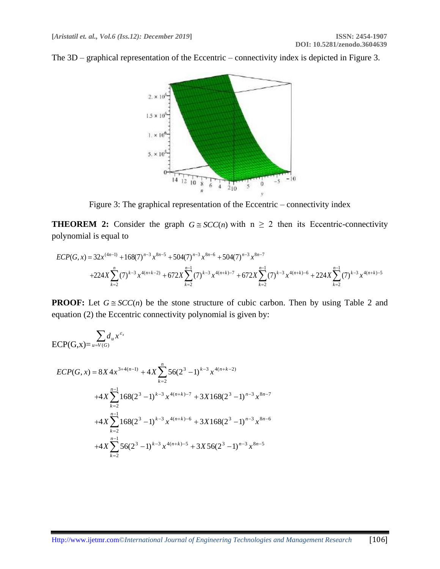

The 3D – graphical representation of the Eccentric – connectivity index is depicted in Figure 3.

Figure 3: The graphical representation of the Eccentric – connectivity index

**THEOREM 2:** Consider the graph  $G \cong SCC(n)$  with  $n \ge 2$  then its Eccentric-connectivity polynomial is equal to

$$
ECP(G, x) = 32x^{(4n-1)} + 168(7)^{n-3}x^{8n-5} + 504(7)^{n-3}x^{8n-6} + 504(7)^{n-3}x^{8n-7} + 224X\sum_{k=2}^{n} (7)^{k-3}x^{4(n+k-2)} + 672X\sum_{k=2}^{n-1} (7)^{k-3}x^{4(n+k)-7} + 672X\sum_{k=2}^{n-1} (7)^{k-3}x^{4(n+k)-6} + 224X\sum_{k=2}^{n-1} (7)^{k-3}x^{4(n+k)-5}
$$

**PROOF:** Let  $G \cong SCC(n)$  be the stone structure of cubic carbon. Then by using Table 2 and equation (2) the Eccentric connectivity polynomial is given by:

$$
\text{ECP}(G,x) = \sum_{u=V(G)} d_u x^{\varepsilon_x}
$$

$$
ECP(G, x) = 8X 4x^{3+4(n-1)} + 4X \sum_{k=2}^{n} 56(2^{3} - 1)^{k-3} x^{4(n+k-2)}
$$
  
+4X $\sum_{k=2}^{n-1} 168(2^{3} - 1)^{k-3} x^{4(n+k)-7} + 3X168(2^{3} - 1)^{n-3} x^{8n-7}$   
+4X $\sum_{k=2}^{n-1} 168(2^{3} - 1)^{k-3} x^{4(n+k)-6} + 3X168(2^{3} - 1)^{n-3} x^{8n-6}$   
+4X $\sum_{k=2}^{n-1} 56(2^{3} - 1)^{k-3} x^{4(n+k)-5} + 3X56(2^{3} - 1)^{n-3} x^{8n-5}$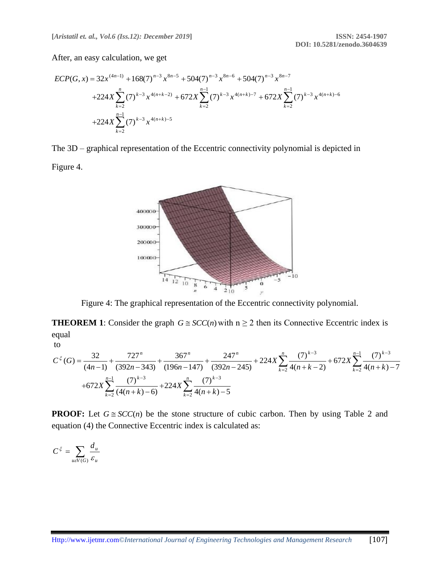After, an easy calculation, we get

$$
ECP(G, x) = 32x^{(4n-1)} + 168(7)^{n-3}x^{8n-5} + 504(7)^{n-3}x^{8n-6} + 504(7)^{n-3}x^{8n-7}
$$
  
+224X $\sum_{k=2}^{n} (7)^{k-3}x^{4(n+k-2)} + 672X\sum_{k=2}^{n-1} (7)^{k-3}x^{4(n+k)-7} + 672X\sum_{k=2}^{n-1} (7)^{k-3}x^{4(n+k)-6}$   
+224X $\sum_{k=2}^{n-1} (7)^{k-3}x^{4(n+k)-5}$ 

The 3D – graphical representation of the Eccentric connectivity polynomial is depicted in Figure 4.



Figure 4: The graphical representation of the Eccentric connectivity polynomial.

**THEOREM** 1: Consider the graph  $G \cong SCC(n)$  with  $n \ge 2$  then its Connective Eccentric index is equal

$$
C^{\xi}(G) = \frac{32}{(4n-1)} + \frac{727^{n}}{(392n - 343)} + \frac{367^{n}}{(196n - 147)} + \frac{247^{n}}{(392n - 245)} + 224X \sum_{k=2}^{n} \frac{(7)^{k-3}}{4(n+k-2)} + 672X \sum_{k=2}^{n-1} \frac{(7)^{k-3}}{4(n+k) - 7}
$$
  
+672X  $\sum_{k=2}^{n-1} \frac{(7)^{k-3}}{(4(n+k) - 6)} + 224X \sum_{k=2}^{n} \frac{(7)^{k-3}}{4(n+k) - 5}$ 

**PROOF:** Let  $G \cong SCC(n)$  be the stone structure of cubic carbon. Then by using Table 2 and equation (4) the Connective Eccentric index is calculated as:

$$
C^\xi = \sum_{u \varepsilon V(G)} \frac{d_u}{\varepsilon_u}
$$

to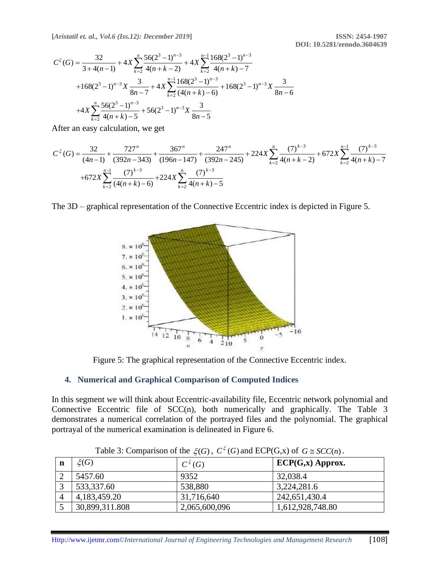**[***Aristatil et. al., Vol.6 (Iss.12): December 2019***] ISSN: 2454-1907**

$$
C^{\xi}(G) = \frac{32}{3 + 4(n-1)} + 4X \sum_{k=2}^{n} \frac{56(2^{3} - 1)^{n-3}}{4(n+k-2)} + 4X \sum_{k=2}^{n-1} \frac{168(2^{3} - 1)^{n-3}}{4(n+k) - 7}
$$
  
+168(2<sup>3</sup> - 1)<sup>n-3</sup> X  $\frac{3}{8n-7} + 4X \sum_{k=2}^{n-1} \frac{168(2^{3} - 1)^{n-3}}{(4(n+k) - 6)} + 168(2^{3} - 1)^{n-3} X \frac{3}{8n-6}$   
+4X $\sum_{k=2}^{n} \frac{56(2^{3} - 1)^{n-3}}{4(n+k) - 5} + 56(2^{3} - 1)^{n-3} X \frac{3}{8n-5}$ 

After an easy calculation, we get

$$
C^{\xi}(G) = \frac{32}{(4n-1)} + \frac{727^{n}}{(392n-343)} + \frac{367^{n}}{(196n-147)} + \frac{247^{n}}{(392n-245)} + 224X \sum_{k=2}^{n} \frac{(7)^{k-3}}{4(n+k-2)} + 672X \sum_{k=2}^{n-1} \frac{(7)^{k-3}}{4(n+k)-7}
$$
  
+672X  $\sum_{k=2}^{n-1} \frac{(7)^{k-3}}{(4(n+k)-6)} + 224X \sum_{k=2}^{n} \frac{(7)^{k-3}}{4(n+k)-5}$ 

The 3D – graphical representation of the Connective Eccentric index is depicted in Figure 5.



Figure 5: The graphical representation of the Connective Eccentric index.

#### **4. Numerical and Graphical Comparison of Computed Indices**

In this segment we will think about Eccentric-availability file, Eccentric network polynomial and Connective Eccentric file of SCC(n), both numerically and graphically. The Table 3 demonstrates a numerical correlation of the portrayed files and the polynomial. The graphical portrayal of the numerical examination is delineated in Figure 6.

| n              | $\xi(G)$       | $C^{\xi}(G)$  | $ECP(G,x)$ Approx. |
|----------------|----------------|---------------|--------------------|
|                | 5457.60        | 9352          | 32,038.4           |
| $\mathcal{L}$  | 533,337.60     | 538,880       | 3,224,281.6        |
| $\overline{4}$ | 4,183,459.20   | 31,716,640    | 242,651,430.4      |
|                | 30,899,311.808 | 2,065,600,096 | 1,612,928,748.80   |

Table 3: Comparison of the  $\xi(G)$ ,  $C^{\xi}(G)$  and  $ECP(G,x)$  of  $G \cong SCC(n)$ .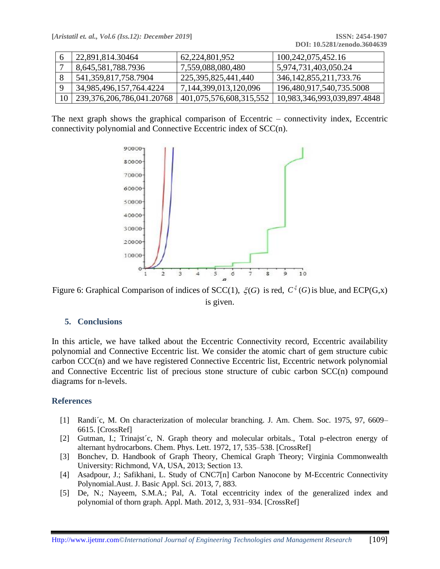|    | 22,891,814.30464               | 62, 224, 801, 952          | 100, 242, 075, 452. 16      |
|----|--------------------------------|----------------------------|-----------------------------|
|    | 8,645,581,788.7936             | 7,559,088,080,480          | 5,974,731,403,050.24        |
|    | 541, 359, 817, 758. 7904       | 225, 395, 825, 441, 440    | 346, 142, 855, 211, 733. 76 |
|    | 34,985,496,157,764.4224        | 7, 144, 399, 013, 120, 096 | 196,480,917,540,735.5008    |
| 10 | 239, 376, 206, 786, 041. 20768 | 401,075,576,608,315,552    | 10,983,346,993,039,897.4848 |

The next graph shows the graphical comparison of Eccentric – connectivity index, Eccentric connectivity polynomial and Connective Eccentric index of SCC(n).



Figure 6: Graphical Comparison of indices of SCC(1),  $\xi(G)$  is red,  $C^{\xi}(G)$  is blue, and ECP(G,x) is given.

#### **5. Conclusions**

In this article, we have talked about the Eccentric Connectivity record, Eccentric availability polynomial and Connective Eccentric list. We consider the atomic chart of gem structure cubic carbon CCC(n) and we have registered Connective Eccentric list, Eccentric network polynomial and Connective Eccentric list of precious stone structure of cubic carbon SCC(n) compound diagrams for n-levels.

#### **References**

- [1] Randi´c, M. On characterization of molecular branching. J. Am. Chem. Soc. 1975, 97, 6609– 6615. [CrossRef]
- [2] Gutman, I.; Trinajst´c, N. Graph theory and molecular orbitals., Total p-electron energy of alternant hydrocarbons. Chem. Phys. Lett. 1972, 17, 535–538. [CrossRef]
- [3] Bonchev, D. Handbook of Graph Theory, Chemical Graph Theory; Virginia Commonwealth University: Richmond, VA, USA, 2013; Section 13.
- [4] Asadpour, J.; Safikhani, L. Study of CNC7[n] Carbon Nanocone by M-Eccentric Connectivity Polynomial.Aust. J. Basic Appl. Sci. 2013, 7, 883.
- [5] De, N.; Nayeem, S.M.A.; Pal, A. Total eccentricity index of the generalized index and polynomial of thorn graph. Appl. Math. 2012, 3, 931–934. [CrossRef]